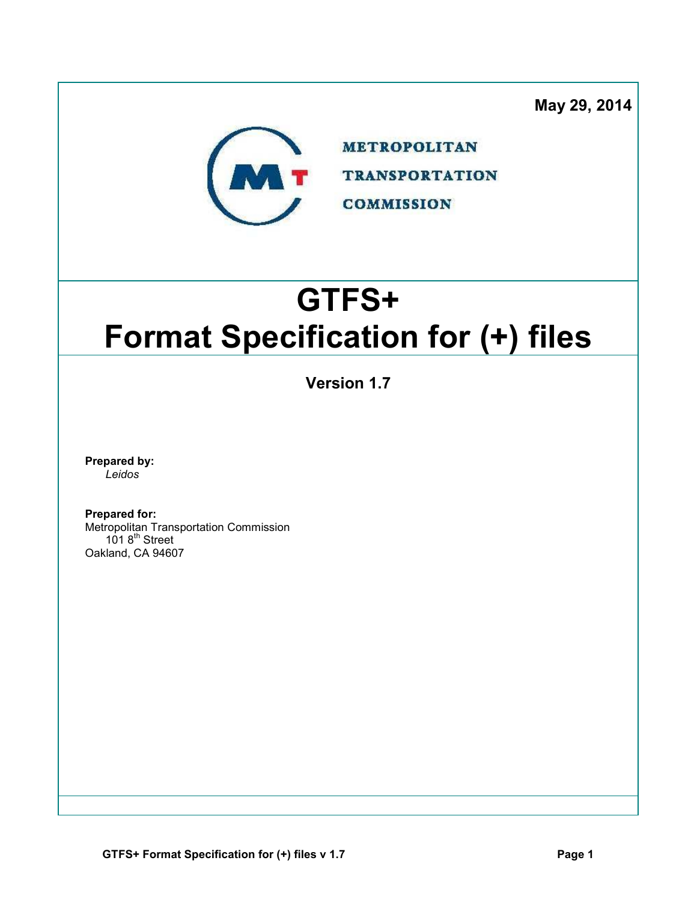**May 29, 2014**



**METROPOLITAN TRANSPORTATION COMMISSION** 

# **GTFS+ Format Specification for (+) files**

**Version 1.7** 

**Prepared by:**  *Leidos* 

**Prepared for:** 

Metropolitan Transportation Commission 101 8<sup>th</sup> Street Oakland, CA 94607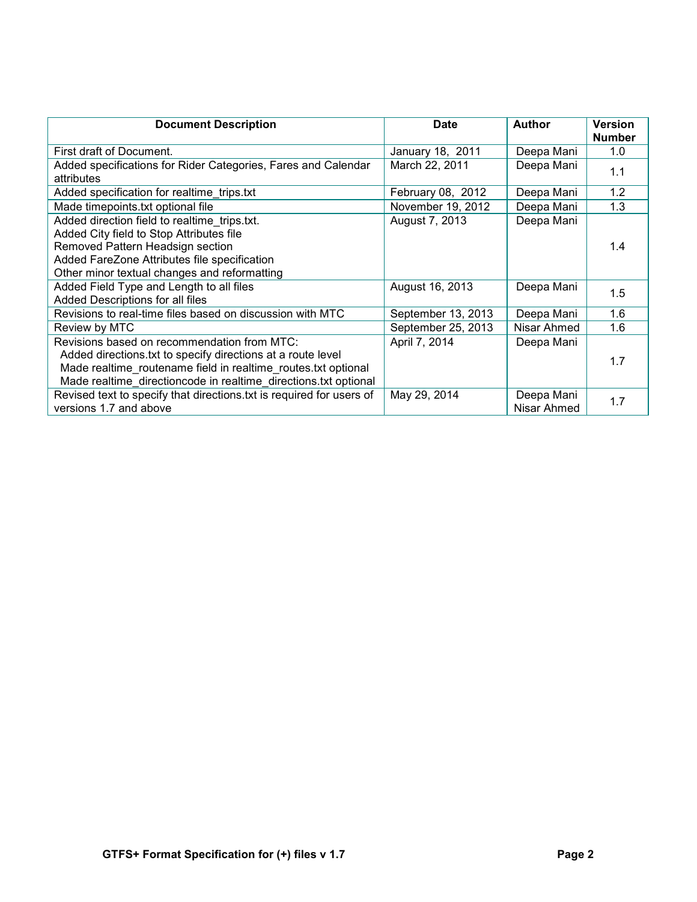| <b>Document Description</b>                                          | <b>Date</b>        | <b>Author</b> | <b>Version</b> |
|----------------------------------------------------------------------|--------------------|---------------|----------------|
|                                                                      |                    |               | <b>Number</b>  |
| First draft of Document.                                             | January 18, 2011   | Deepa Mani    | 1.0            |
| Added specifications for Rider Categories, Fares and Calendar        | March 22, 2011     | Deepa Mani    | 1.1            |
| attributes                                                           |                    |               |                |
| Added specification for realtime trips.txt                           | February 08, 2012  | Deepa Mani    | 1.2            |
| Made timepoints.txt optional file                                    | November 19, 2012  | Deepa Mani    | 1.3            |
| Added direction field to realtime trips.txt.                         | August 7, 2013     | Deepa Mani    |                |
| Added City field to Stop Attributes file                             |                    |               |                |
| Removed Pattern Headsign section                                     |                    |               | 1.4            |
| Added FareZone Attributes file specification                         |                    |               |                |
| Other minor textual changes and reformatting                         |                    |               |                |
| Added Field Type and Length to all files                             | August 16, 2013    | Deepa Mani    | 1.5            |
| Added Descriptions for all files                                     |                    |               |                |
| Revisions to real-time files based on discussion with MTC            | September 13, 2013 | Deepa Mani    | 1.6            |
| Review by MTC                                                        | September 25, 2013 | Nisar Ahmed   | 1.6            |
| Revisions based on recommendation from MTC:                          | April 7, 2014      | Deepa Mani    |                |
| Added directions txt to specify directions at a route level          |                    |               | 1.7            |
| Made realtime routename field in realtime routes txt optional        |                    |               |                |
| Made realtime directioncode in realtime directions.txt optional      |                    |               |                |
| Revised text to specify that directions txt is required for users of | May 29, 2014       | Deepa Mani    | 1.7            |
| versions 1.7 and above                                               |                    | Nisar Ahmed   |                |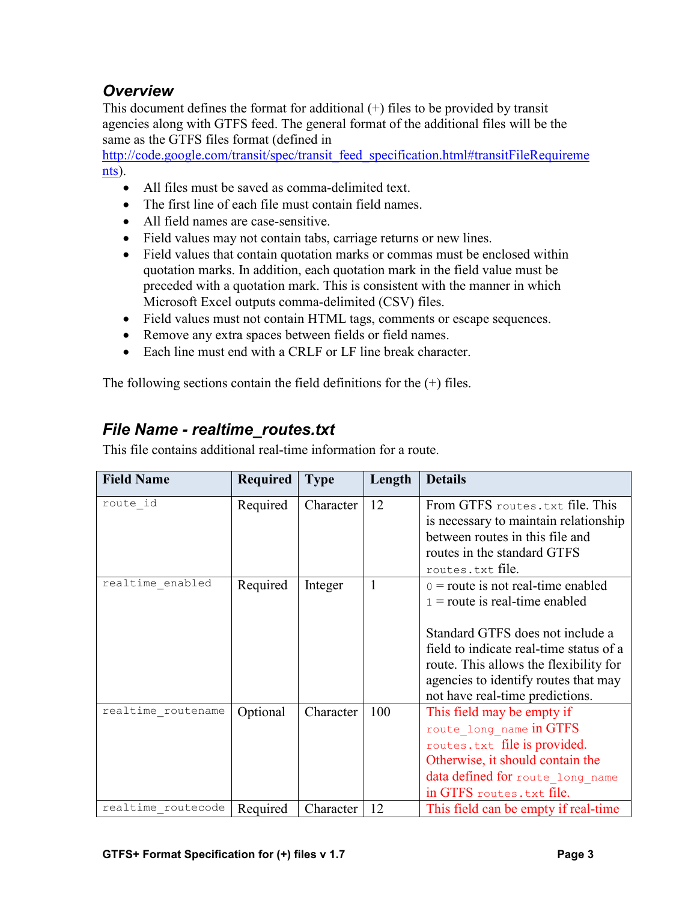# *Overview*

This document defines the format for additional (+) files to be provided by transit agencies along with GTFS feed. The general format of the additional files will be the same as the GTFS files format (defined in

http://code.google.com/transit/spec/transit\_feed\_specification.html#transitFileRequireme nts).

- All files must be saved as comma-delimited text.
- The first line of each file must contain field names.
- All field names are case-sensitive.
- Field values may not contain tabs, carriage returns or new lines.
- Field values that contain quotation marks or commas must be enclosed within quotation marks. In addition, each quotation mark in the field value must be preceded with a quotation mark. This is consistent with the manner in which Microsoft Excel outputs comma-delimited (CSV) files.
- Field values must not contain HTML tags, comments or escape sequences.
- Remove any extra spaces between fields or field names.
- Each line must end with a CRLF or LF line break character.

The following sections contain the field definitions for the  $(+)$  files.

#### *File Name - realtime\_routes.txt*

This file contains additional real-time information for a route.

| <b>Field Name</b>  | <b>Required</b> | <b>Type</b> | Length | <b>Details</b>                          |
|--------------------|-----------------|-------------|--------|-----------------------------------------|
| route id           | Required        | Character   | 12     | From GTFS routes.txt file. This         |
|                    |                 |             |        | is necessary to maintain relationship   |
|                    |                 |             |        | between routes in this file and         |
|                    |                 |             |        | routes in the standard GTFS             |
|                    |                 |             |        | routes.txt file.                        |
| realtime enabled   | Required        | Integer     | 1      | $0 =$ route is not real-time enabled    |
|                    |                 |             |        | $1 =$ route is real-time enabled        |
|                    |                 |             |        |                                         |
|                    |                 |             |        | Standard GTFS does not include a        |
|                    |                 |             |        | field to indicate real-time status of a |
|                    |                 |             |        | route. This allows the flexibility for  |
|                    |                 |             |        | agencies to identify routes that may    |
|                    |                 |             |        | not have real-time predictions.         |
| realtime routename | Optional        | Character   | 100    | This field may be empty if              |
|                    |                 |             |        | route_long_name in GTFS                 |
|                    |                 |             |        | routes.txt file is provided.            |
|                    |                 |             |        | Otherwise, it should contain the        |
|                    |                 |             |        | data defined for route long name        |
|                    |                 |             |        | in GTFS routes. txt file.               |
| realtime routecode | Required        | Character   | 12     | This field can be empty if real-time    |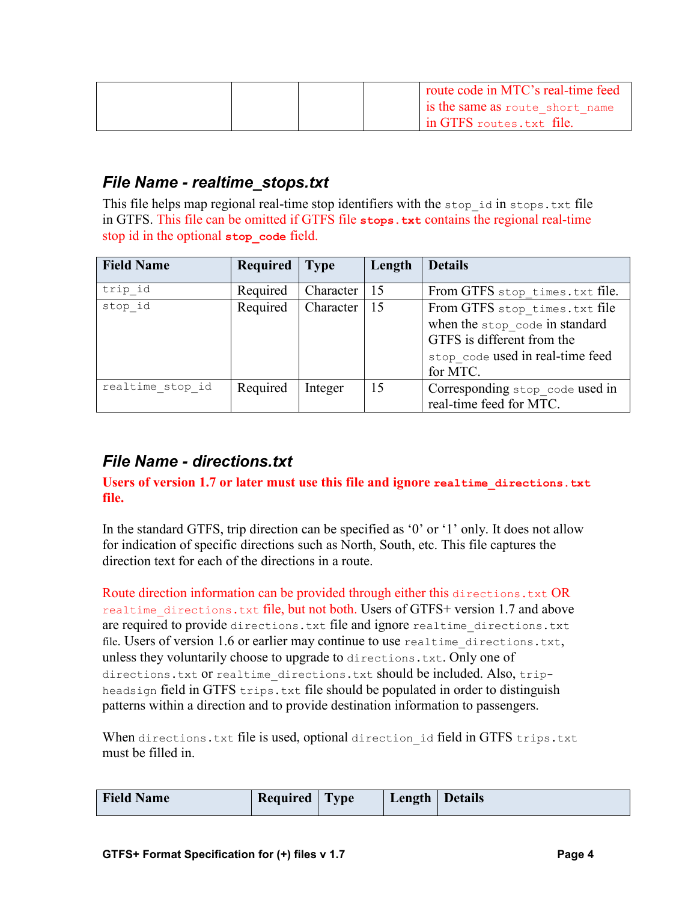|  | route code in MTC's real-time feed |
|--|------------------------------------|
|  | Is the same as route short name    |
|  | I in GTFS routes.txt file.         |

# *File Name - realtime\_stops.txt*

This file helps map regional real-time stop identifiers with the stop id in stops.txt file in GTFS. This file can be omitted if GTFS file **stops.txt** contains the regional real-time stop id in the optional **stop\_code** field.

| <b>Field Name</b> | Required | <b>Type</b> | Length | <b>Details</b>                                                                                                                                |
|-------------------|----------|-------------|--------|-----------------------------------------------------------------------------------------------------------------------------------------------|
| trip id           | Required | Character   | 15     | From GTFS stop times. txt file.                                                                                                               |
| stop id           | Required | Character   | 15     | From GTFS stop times.txt file<br>when the stop code in standard<br>GTFS is different from the<br>stop code used in real-time feed<br>for MTC. |
| realtime stop id  | Required | Integer     | 15     | Corresponding stop code used in<br>real-time feed for MTC.                                                                                    |

# *File Name - directions.txt*

#### **Users of version 1.7 or later must use this file and ignore realtime\_directions.txt file.**

In the standard GTFS, trip direction can be specified as '0' or '1' only. It does not allow for indication of specific directions such as North, South, etc. This file captures the direction text for each of the directions in a route.

Route direction information can be provided through either this directions.txt OR realtime directions.txt file, but not both. Users of GTFS+ version 1.7 and above are required to provide directions.txt file and ignore realtime directions.txt file. Users of version 1.6 or earlier may continue to use realtime\_directions.txt, unless they voluntarily choose to upgrade to directions.txt. Only one of directions.txt Or realtime directions.txt should be included. Also, tripheadsign field in GTFS trips.txt file should be populated in order to distinguish patterns within a direction and to provide destination information to passengers.

When directions.txt file is used, optional direction id field in GTFS trips.txt must be filled in.

| <b>Field Name</b> | Required | <b>Type</b> | Length   Details |  |
|-------------------|----------|-------------|------------------|--|
|                   |          |             |                  |  |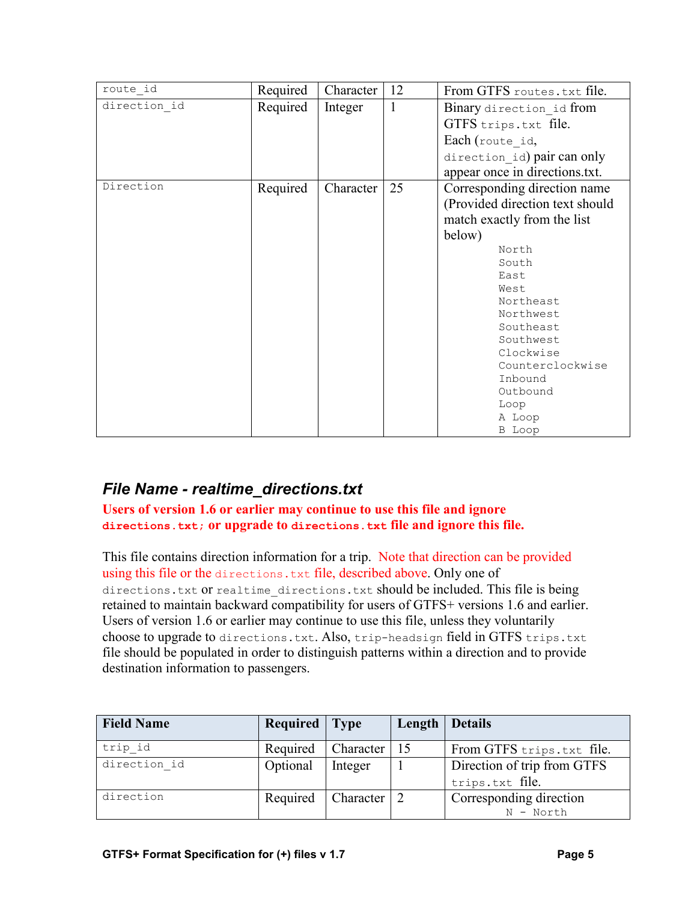| route id     | Required | Character | 12 | From GTFS routes. txt file.     |
|--------------|----------|-----------|----|---------------------------------|
| direction id | Required | Integer   | 1  | Binary direction id from        |
|              |          |           |    | GTFS trips.txt file.            |
|              |          |           |    | Each (route id,                 |
|              |          |           |    | direction id) pair can only     |
|              |          |           |    | appear once in directions.txt.  |
| Direction    | Required | Character | 25 | Corresponding direction name    |
|              |          |           |    | (Provided direction text should |
|              |          |           |    | match exactly from the list     |
|              |          |           |    | below)                          |
|              |          |           |    | North                           |
|              |          |           |    | South                           |
|              |          |           |    | East                            |
|              |          |           |    | West                            |
|              |          |           |    | Northeast                       |
|              |          |           |    | Northwest                       |
|              |          |           |    | Southeast                       |
|              |          |           |    | Southwest                       |
|              |          |           |    | Clockwise                       |
|              |          |           |    | Counterclockwise                |
|              |          |           |    | Inbound                         |
|              |          |           |    | Outbound                        |
|              |          |           |    | Loop                            |
|              |          |           |    | A Loop                          |
|              |          |           |    | B Loop                          |

# *File Name - realtime\_directions.txt*

**Users of version 1.6 or earlier may continue to use this file and ignore directions.txt; or upgrade to directions.txt file and ignore this file.**

This file contains direction information for a trip. Note that direction can be provided using this file or the directions.txt file, described above. Only one of directions.txt Or realtime directions.txt should be included. This file is being retained to maintain backward compatibility for users of GTFS+ versions 1.6 and earlier. Users of version 1.6 or earlier may continue to use this file, unless they voluntarily choose to upgrade to directions.txt. Also, trip-headsign field in GTFS trips.txt file should be populated in order to distinguish patterns within a direction and to provide destination information to passengers.

| <b>Field Name</b> | <b>Required</b> Type |                     | Length   Details                               |
|-------------------|----------------------|---------------------|------------------------------------------------|
| trip id           | Required             | Character           | From GTFS trips.txt file.                      |
| direction id      | Optional             | Integer             | Direction of trip from GTFS<br>trips.txt file. |
| direction         | Required             | Character $\vert$ 2 | Corresponding direction<br>$N - North$         |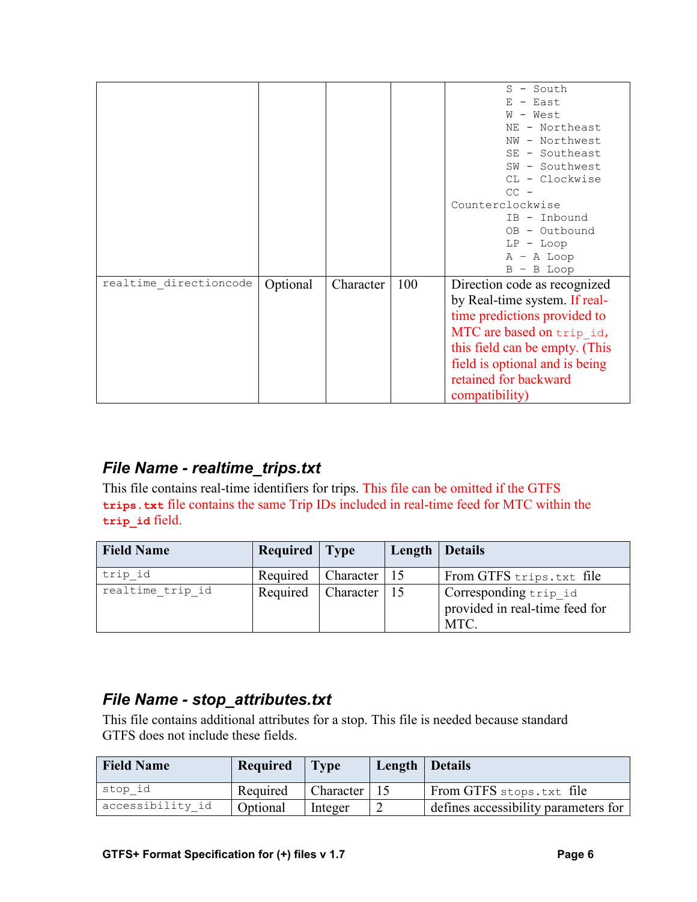|                        |          |           |     | - South<br>S                   |
|------------------------|----------|-----------|-----|--------------------------------|
|                        |          |           |     | - East<br>Ε                    |
|                        |          |           |     | - West<br>W                    |
|                        |          |           |     | - Northeast<br>NΕ              |
|                        |          |           |     | - Northwest<br>NW              |
|                        |          |           |     | SE - Southeast                 |
|                        |          |           |     | SW - Southwest                 |
|                        |          |           |     | CL - Clockwise                 |
|                        |          |           |     | $CC -$                         |
|                        |          |           |     | Counterclockwise               |
|                        |          |           |     | IB - Inbound                   |
|                        |          |           |     | - Outbound<br>OB.              |
|                        |          |           |     | LP<br>- Loop                   |
|                        |          |           |     | $A - A$ Loop                   |
|                        |          |           |     | $B - B$ Loop                   |
| realtime directioncode | Optional | Character | 100 | Direction code as recognized   |
|                        |          |           |     | by Real-time system. If real-  |
|                        |          |           |     | time predictions provided to   |
|                        |          |           |     | MTC are based on trip id,      |
|                        |          |           |     | this field can be empty. (This |
|                        |          |           |     | field is optional and is being |
|                        |          |           |     | retained for backward          |
|                        |          |           |     |                                |
|                        |          |           |     | compatibility)                 |

# *File Name - realtime\_trips.txt*

This file contains real-time identifiers for trips. This file can be omitted if the GTFS **trips.txt** file contains the same Trip IDs included in real-time feed for MTC within the **trip\_id** field.

| <b>Field Name</b> | <b>Required</b> Type |                | Length | Details                                                         |
|-------------------|----------------------|----------------|--------|-----------------------------------------------------------------|
| trip id           | Required             | Character   15 |        | From GTFS trips.txt file                                        |
| realtime trip id  | Required             | Character   15 |        | Corresponding trip_id<br>provided in real-time feed for<br>MTC. |

# *File Name - stop\_attributes.txt*

This file contains additional attributes for a stop. This file is needed because standard GTFS does not include these fields.

| <b>Field Name</b> | Required | $1$ Type        | Length   Details |                                      |
|-------------------|----------|-----------------|------------------|--------------------------------------|
| stop id           | Required | Character $ 15$ |                  | From GTFS stops.txt file             |
| accessibility id  | Optional | Integer         |                  | defines accessibility parameters for |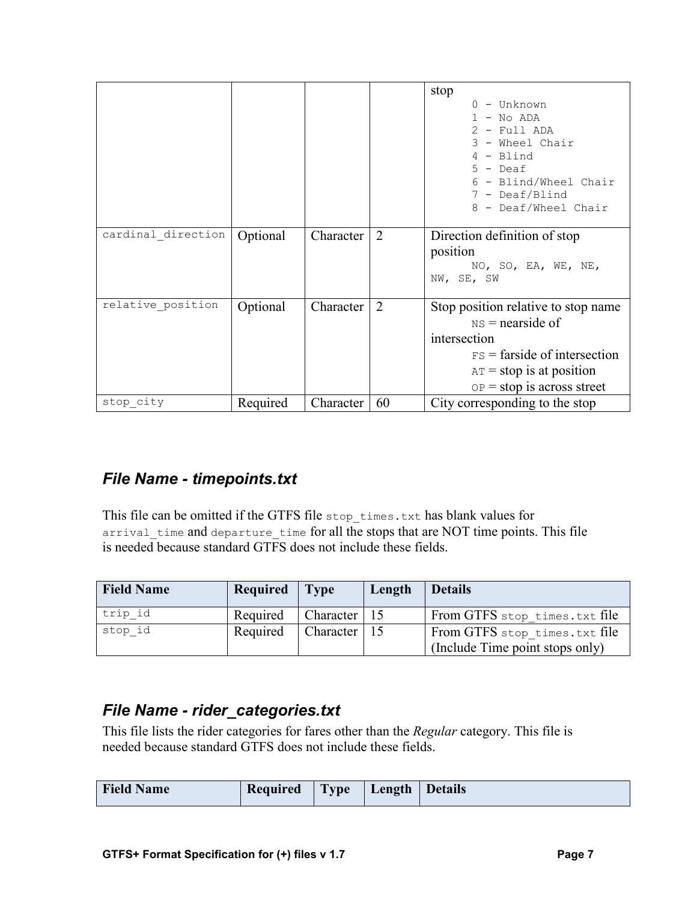|                    |          |           |    | stop<br>$0 - Unknown$<br>$1 - No ADA$<br>$2$ - Full ADA<br>3 - Wheel Chair<br>$4 - Blind$<br>$5 -$ Deaf<br>6 - Blind/Wheel Chair<br>7 - Deaf/Blind<br>8 - Deaf/Wheel Chair |
|--------------------|----------|-----------|----|----------------------------------------------------------------------------------------------------------------------------------------------------------------------------|
| cardinal direction | Optional | Character | 2  | Direction definition of stop                                                                                                                                               |
|                    |          |           |    | position<br>NO, SO, EA, WE, NE,                                                                                                                                            |
|                    |          |           |    | NW, SE, SW                                                                                                                                                                 |
| relative position  | Optional | Character | 2  | Stop position relative to stop name                                                                                                                                        |
|                    |          |           |    | $NS =$ nearside of                                                                                                                                                         |
|                    |          |           |    | intersection                                                                                                                                                               |
|                    |          |           |    | $FS =$ farside of intersection                                                                                                                                             |
|                    |          |           |    | $AT = stop$ is at position                                                                                                                                                 |
|                    |          |           |    | $OP = stop$ is across street                                                                                                                                               |
| stop city          | Required | Character | 60 | City corresponding to the stop                                                                                                                                             |

# *File Name - timepoints.txt*

This file can be omitted if the GTFS file stop\_times.txt has blank values for arrival time and departure time for all the stops that are NOT time points. This file is needed because standard GTFS does not include these fields.

| <b>Field Name</b> | Required | $\blacksquare$ Type | Length | <b>Details</b>                                                   |
|-------------------|----------|---------------------|--------|------------------------------------------------------------------|
| trip id           | Required | Character $ 15$     |        | From GTFS stop times.txt file                                    |
| stop id           | Required | Character $ 15$     |        | From GTFS stop times.txt file<br>(Include Time point stops only) |

# *File Name - rider\_categories.txt*

This file lists the rider categories for fares other than the *Regular* category. This file is needed because standard GTFS does not include these fields.

| <b>Field Name</b> | Required | <b>Type</b> | Length | Details |
|-------------------|----------|-------------|--------|---------|
|-------------------|----------|-------------|--------|---------|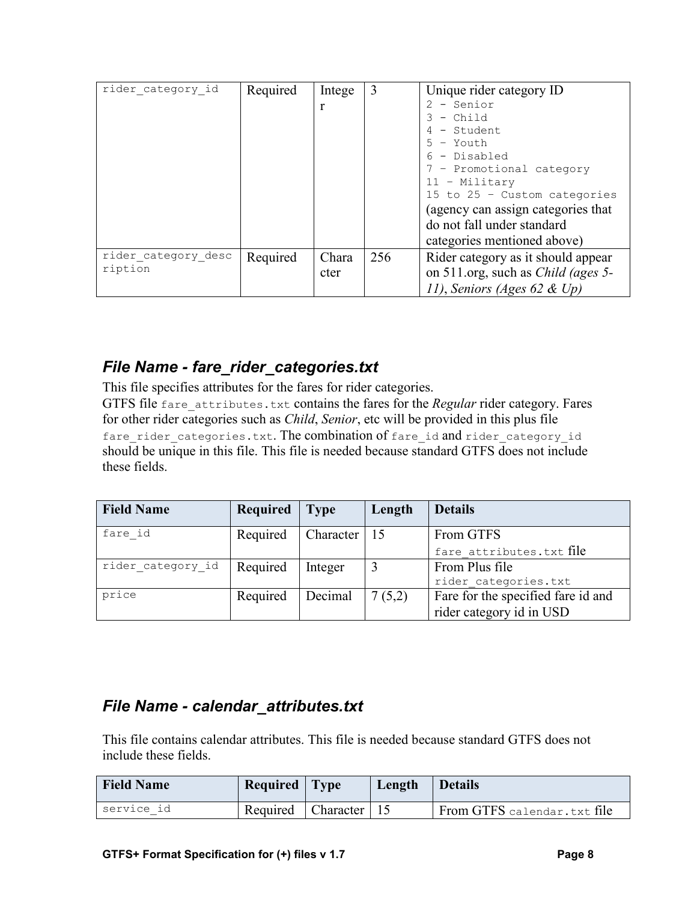| rider category id   | Required | Intege | 3   | Unique rider category ID                  |
|---------------------|----------|--------|-----|-------------------------------------------|
|                     |          |        |     | - Senior                                  |
|                     |          |        |     | - Child                                   |
|                     |          |        |     | - Student                                 |
|                     |          |        |     | - Youth                                   |
|                     |          |        |     | - Disabled                                |
|                     |          |        |     | 7 - Promotional category                  |
|                     |          |        |     | $11 -$ Military                           |
|                     |          |        |     | 15 to 25 - Custom categories              |
|                     |          |        |     | (agency can assign categories that)       |
|                     |          |        |     | do not fall under standard                |
|                     |          |        |     | categories mentioned above)               |
| rider category desc | Required | Chara  | 256 | Rider category as it should appear        |
| ription             |          | cter   |     | on 511.org, such as <i>Child (ages 5-</i> |
|                     |          |        |     | 11), Seniors (Ages 62 & Up)               |

# *File Name - fare\_rider\_categories.txt*

This file specifies attributes for the fares for rider categories.

GTFS file fare attributes.txt contains the fares for the *Regular* rider category. Fares for other rider categories such as *Child*, *Senior*, etc will be provided in this plus file fare rider categories.txt. The combination of fare id and rider category id should be unique in this file. This file is needed because standard GTFS does not include these fields.

| <b>Field Name</b> | Required | <b>Type</b> | Length | <b>Details</b>                     |
|-------------------|----------|-------------|--------|------------------------------------|
| fare id           | Required | Character   | 15     | From GTFS                          |
|                   |          |             |        | fare attributes.txt file           |
| rider category id | Required | Integer     |        | From Plus file                     |
|                   |          |             |        | rider categories.txt               |
| price             | Required | Decimal     | 7(5,2) | Fare for the specified fare id and |
|                   |          |             |        | rider category id in USD           |

# *File Name - calendar\_attributes.txt*

This file contains calendar attributes. This file is needed because standard GTFS does not include these fields.

| <b>Field Name</b> | Required   Type |                            | Length | <b>Details</b>              |
|-------------------|-----------------|----------------------------|--------|-----------------------------|
| service id        | Required        | $\Box$ Character $\Box$ 15 |        | From GTFS calendar.txt file |